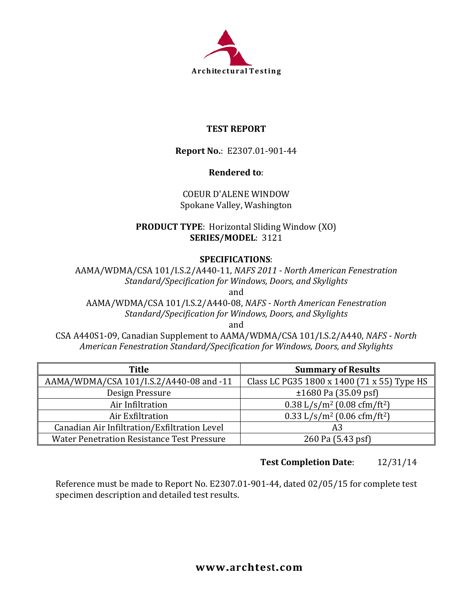

## **TEST REPORT**

**Report No.**: E2307.01-901-44

## **Rendered to**:

COEUR D'ALENE WINDOW Spokane Valley, Washington

**PRODUCT TYPE**: Horizontal Sliding Window (XO) **SERIES/MODEL**: 3121

### **SPECIFICATIONS**:

AAMA/WDMA/CSA 101/I.S.2/A440-11, *NAFS 2011 - North American Fenestration Standard/Specification for Windows, Doors, and Skylights* and

AAMA/WDMA/CSA 101/I.S.2/A440-08, *NAFS - North American Fenestration Standard/Specification for Windows, Doors, and Skylights*

and

CSA A440S1-09, Canadian Supplement to AAMA/WDMA/CSA 101/I.S.2/A440, *NAFS - North American Fenestration Standard/Specification for Windows, Doors, and Skylights*

| Title                                             | <b>Summary of Results</b>                             |
|---------------------------------------------------|-------------------------------------------------------|
| AAMA/WDMA/CSA 101/I.S.2/A440-08 and -11           | Class LC PG35 1800 x 1400 (71 x 55) Type HS           |
| Design Pressure                                   | $\pm 1680$ Pa (35.09 psf)                             |
| Air Infiltration                                  | $0.38$ L/s/m <sup>2</sup> (0.08 cfm/ft <sup>2</sup> ) |
| Air Exfiltration                                  | $0.33$ L/s/m <sup>2</sup> (0.06 cfm/ft <sup>2</sup> ) |
| Canadian Air Infiltration/Exfiltration Level      | A3                                                    |
| <b>Water Penetration Resistance Test Pressure</b> | 260 Pa (5.43 psf)                                     |

## **Test Completion Date**: 12/31/14

Reference must be made to Report No. E2307.01-901-44, dated 02/05/15 for complete test specimen description and detailed test results.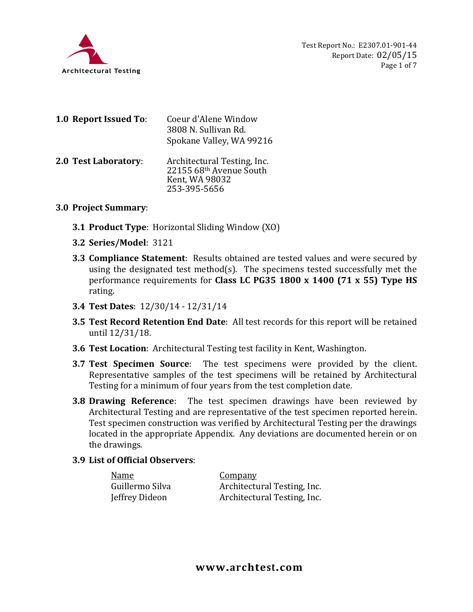

| 1.0 Report Issued To: | Coeur d'Alene Window<br>3808 N. Sullivan Rd.<br>Spokane Valley, WA 99216                 |
|-----------------------|------------------------------------------------------------------------------------------|
| 2.0 Test Laboratory:  | Architectural Testing, Inc.<br>22155 68th Avenue South<br>Kent, WA 98032<br>253-395-5656 |

### **3.0 Project Summary**:

- **3.1 Product Type**: Horizontal Sliding Window (XO)
- **3.2 Series/Model**: 3121
- **3.3 Compliance Statement**: Results obtained are tested values and were secured by using the designated test method(s). The specimens tested successfully met the performance requirements for **Class LC PG35 1800 x 1400 (71 x 55) Type HS** rating.
- **3.4 Test Dates**: 12/30/14 12/31/14
- **3.5 Test Record Retention End Date**: All test records for this report will be retained until 12/31/18.
- **3.6 Test Location**: Architectural Testing test facility in Kent, Washington.
- **3.7 Test Specimen Source**: The test specimens were provided by the client. Representative samples of the test specimens will be retained by Architectural Testing for a minimum of four years from the test completion date.
- **3.8 Drawing Reference**: The test specimen drawings have been reviewed by Architectural Testing and are representative of the test specimen reported herein. Test specimen construction was verified by Architectural Testing per the drawings located in the appropriate Appendix. Any deviations are documented herein or on the drawings.

#### **3.9 List of Official Observers**:

| <u>Name</u>     | <u>Company</u>              |
|-----------------|-----------------------------|
| Guillermo Silva | Architectural Testing, Inc. |
| Jeffrey Dideon  | Architectural Testing, Inc. |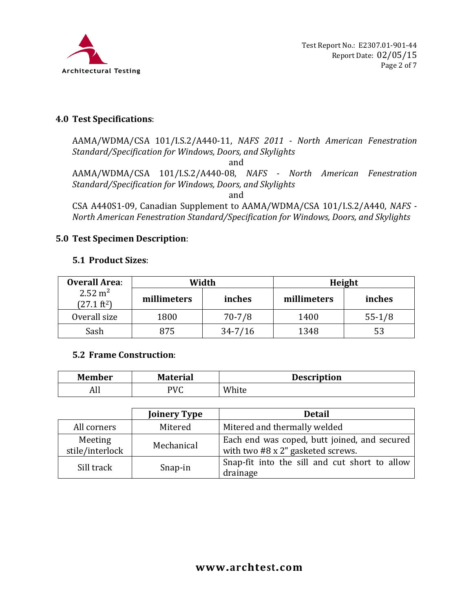

### **4.0 Test Specifications**:

AAMA/WDMA/CSA 101/I.S.2/A440-11, *NAFS 2011 - North American Fenestration Standard/Specification for Windows, Doors, and Skylights*

and

AAMA/WDMA/CSA 101/I.S.2/A440-08, *NAFS - North American Fenestration Standard/Specification for Windows, Doors, and Skylights*

and

CSA A440S1-09, Canadian Supplement to AAMA/WDMA/CSA 101/I.S.2/A440, *NAFS - North American Fenestration Standard/Specification for Windows, Doors, and Skylights*

### **5.0 Test Specimen Description**:

### **5.1 Product Sizes**:

| <b>Overall Area:</b>                        | Width       |             | Height      |          |
|---------------------------------------------|-------------|-------------|-------------|----------|
| $2.52 \text{ m}^2$<br>$(27.1 \text{ ft}^2)$ | millimeters | inches      | millimeters | inches   |
| Overall size                                | 1800        | $70 - 7/8$  | 1400        | $55-1/8$ |
| Sash                                        | 875         | $34 - 7/16$ | 1348        | 53       |

### **5.2 Frame Construction**:

| <b>Member</b> | <b>Material</b> | <b>Description</b> |
|---------------|-----------------|--------------------|
| лп            | PVC             | White              |

|                            | <b>Joinery Type</b> | <b>Detail</b>                                                                            |
|----------------------------|---------------------|------------------------------------------------------------------------------------------|
| All corners                | Mitered             | Mitered and thermally welded                                                             |
| Meeting<br>stile/interlock | Mechanical          | Each end was coped, butt joined, and secured<br>with two $#8 \times 2"$ gasketed screws. |
| Sill track                 | Snap-in             | Snap-fit into the sill and cut short to allow<br>drainage                                |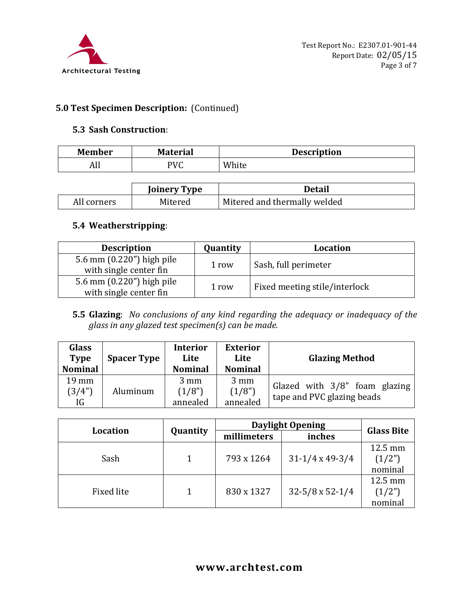

## **5.0 Test Specimen Description:** (Continued)

#### **5.3 Sash Construction**:

| <b>Member</b> | <b>Material</b> | <b>Description</b> |
|---------------|-----------------|--------------------|
| All           | <b>PVC</b><br>ີ | White              |

|             | <b>Joinery Type</b> | Detail                       |
|-------------|---------------------|------------------------------|
| All corners | Mitered             | Mitered and thermally welded |

### **5.4 Weatherstripping**:

| <b>Description</b>                                  | Quantity | <b>Location</b>               |
|-----------------------------------------------------|----------|-------------------------------|
| 5.6 mm (0.220") high pile<br>with single center fin | 1 row    | Sash, full perimeter          |
| 5.6 mm (0.220") high pile<br>with single center fin | 1 row    | Fixed meeting stile/interlock |

## **5.5 Glazing**: *No conclusions of any kind regarding the adequacy or inadequacy of the glass in any glazed test specimen(s) can be made.*

| <b>Glass</b><br><b>Type</b><br><b>Nominal</b> | <b>Spacer Type</b> | <b>Interior</b><br>Lite<br><b>Nominal</b> | <b>Exterior</b><br>Lite<br><b>Nominal</b> | <b>Glazing Method</b>                                       |
|-----------------------------------------------|--------------------|-------------------------------------------|-------------------------------------------|-------------------------------------------------------------|
| $19 \text{ mm}$<br>(3/4")<br>IG               | Aluminum           | $3 \text{ mm}$<br>(1/8")<br>annealed      | $3 \text{ mm}$<br>(1/8")<br>annealed      | Glazed with 3/8" foam glazing<br>tape and PVC glazing beads |

| <b>Location</b> |          | <b>Daylight Opening</b> | <b>Glass Bite</b>      |         |
|-----------------|----------|-------------------------|------------------------|---------|
|                 | Quantity | millimeters             | inches                 |         |
|                 |          |                         |                        | 12.5 mm |
| Sash            |          | 793 x 1264              | $31-1/4 \times 49-3/4$ | (1/2")  |
|                 |          |                         |                        | nominal |
|                 |          |                         |                        | 12.5 mm |
| Fixed lite      |          | 830 x 1327              | $32-5/8 \times 52-1/4$ | (1/2")  |
|                 |          |                         |                        | nominal |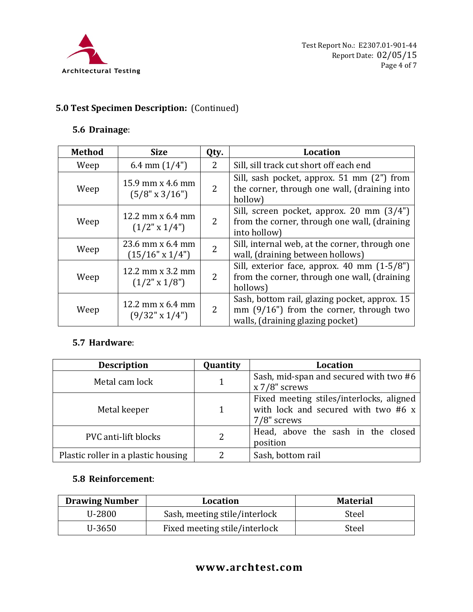

# **5.0 Test Specimen Description:** (Continued)

## **5.6 Drainage**:

| <b>Method</b> | <b>Size</b>                                 | Qty.           | <b>Location</b>                                                                                                               |
|---------------|---------------------------------------------|----------------|-------------------------------------------------------------------------------------------------------------------------------|
| Weep          | 6.4 mm $(1/4")$                             | $\mathcal{L}$  | Sill, sill track cut short off each end                                                                                       |
| Weep          | 15.9 mm x 4.6 mm<br>$(5/8" \times 3/16")$   | 2              | Sill, sash pocket, approx. 51 mm (2") from<br>the corner, through one wall, (draining into<br>hollow)                         |
| Weep          | 12.2 mm $x$ 6.4 mm<br>$(1/2" \times 1/4")$  | 2              | Sill, screen pocket, approx. 20 mm (3/4")<br>from the corner, through one wall, (draining<br>into hollow)                     |
| Weep          | 23.6 mm x 6.4 mm<br>$(15/16"$ x $1/4")$     | $\overline{2}$ | Sill, internal web, at the corner, through one<br>wall, (draining between hollows)                                            |
| Weep          | 12.2 mm $x$ 3.2 mm<br>$(1/2" \times 1/8")$  | $\overline{2}$ | Sill, exterior face, approx. 40 mm (1-5/8")<br>from the corner, through one wall, (draining<br>hollows)                       |
| Weep          | 12.2 mm $x$ 6.4 mm<br>$(9/32" \times 1/4")$ | 2              | Sash, bottom rail, glazing pocket, approx. 15<br>mm $(9/16)$ from the corner, through two<br>walls, (draining glazing pocket) |

## **5.7 Hardware**:

| <b>Description</b>                  | Quantity | Location                                                                                       |
|-------------------------------------|----------|------------------------------------------------------------------------------------------------|
| Metal cam lock                      | 1        | Sash, mid-span and secured with two #6<br>$x 7/8$ " screws                                     |
| Metal keeper                        | 1        | Fixed meeting stiles/interlocks, aligned<br>with lock and secured with two #6 x<br>7/8" screws |
| PVC anti-lift blocks                | 2        | Head, above the sash in the closed<br>position                                                 |
| Plastic roller in a plastic housing | າ        | Sash, bottom rail                                                                              |

### **5.8 Reinforcement**:

| <b>Drawing Number</b> | <b>Location</b>               | <b>Material</b> |
|-----------------------|-------------------------------|-----------------|
| U-2800                | Sash, meeting stile/interlock | Steel           |
| U-3650                | Fixed meeting stile/interlock | Steel           |

# **www.archtest.com**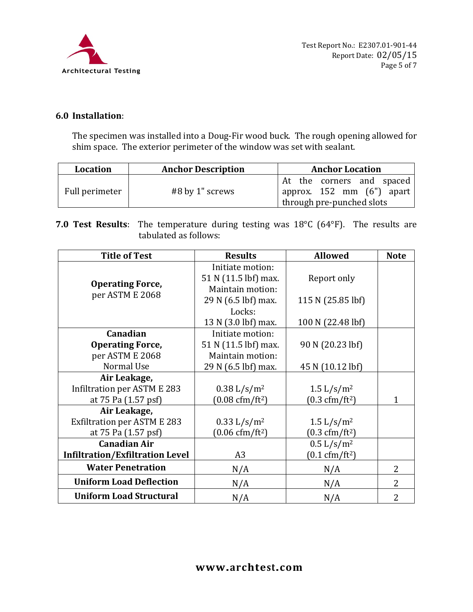

### **6.0 Installation**:

The specimen was installed into a Doug-Fir wood buck. The rough opening allowed for shim space. The exterior perimeter of the window was set with sealant.

| Location       | <b>Anchor Description</b> | <b>Anchor Location</b>                                                              |
|----------------|---------------------------|-------------------------------------------------------------------------------------|
| Full perimeter | #8 by 1" screws           | At the corners and spaced<br>approx. 152 mm (6") apart<br>through pre-punched slots |

### **7.0 Test Results**: The temperature during testing was 18°C (64°F). The results are tabulated as follows:

| <b>Title of Test</b>                   | <b>Results</b>                   | <b>Allowed</b>                              | <b>Note</b>    |
|----------------------------------------|----------------------------------|---------------------------------------------|----------------|
|                                        | Initiate motion:                 |                                             |                |
| <b>Operating Force,</b>                | 51 N (11.5 lbf) max.             | Report only                                 |                |
| per ASTM E 2068                        | Maintain motion:                 |                                             |                |
|                                        | 29 N (6.5 lbf) max.              | 115 N (25.85 lbf)                           |                |
|                                        | Locks:                           |                                             |                |
|                                        | 13 N (3.0 lbf) max.              | 100 N (22.48 lbf)                           |                |
| Canadian                               | Initiate motion:                 |                                             |                |
| <b>Operating Force,</b>                | 51 N (11.5 lbf) max.             | 90 N (20.23 lbf)                            |                |
| per ASTM E 2068                        | Maintain motion:                 |                                             |                |
| Normal Use                             | 29 N (6.5 lbf) max.              | 45 N (10.12 lbf)                            |                |
| Air Leakage,                           |                                  |                                             |                |
| Infiltration per ASTM E 283            | $0.38 L/s/m^2$                   | $1.5 \frac{\text{L}}{\text{s}} \text{/m}^2$ |                |
| at 75 Pa (1.57 psf)                    | $(0.08 \text{ cfm}/\text{ft}^2)$ | $(0.3 \text{ cfm}/\text{ft}^2)$             | 1              |
| Air Leakage,                           |                                  |                                             |                |
| <b>Exfiltration per ASTM E 283</b>     | 0.33 L/s/m <sup>2</sup>          | $1.5 \frac{\text{L}}{\text{s}} \text{/m}^2$ |                |
| at 75 Pa (1.57 psf)                    | $(0.06 \text{ cfm}/\text{ft}^2)$ | $(0.3 \text{ cfm}/\text{ft}^2)$             |                |
| <b>Canadian Air</b>                    |                                  | 0.5 L/s/m <sup>2</sup>                      |                |
| <b>Infiltration/Exfiltration Level</b> | A <sub>3</sub>                   | $(0.1 \text{ cfm}/\text{ft}^2)$             |                |
| <b>Water Penetration</b>               | N/A                              | N/A                                         | $\overline{2}$ |
| <b>Uniform Load Deflection</b>         | N/A                              | N/A                                         | $\overline{2}$ |
| <b>Uniform Load Structural</b>         | N/A                              | N/A                                         | $\overline{2}$ |

## **www.archtest.com**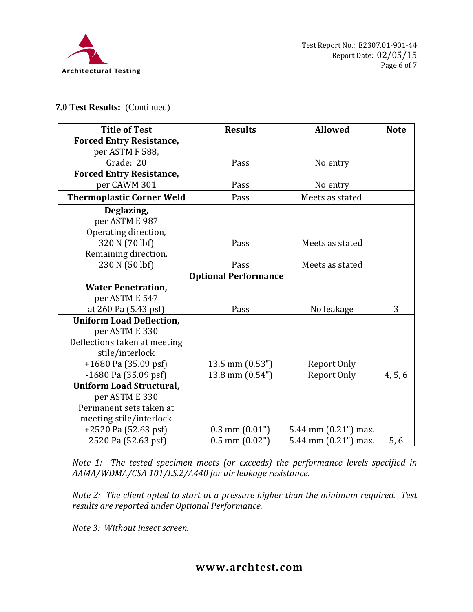

#### **7.0 Test Results:** (Continued)

| <b>Title of Test</b>             | <b>Results</b>              | <b>Allowed</b>       | <b>Note</b> |
|----------------------------------|-----------------------------|----------------------|-------------|
| <b>Forced Entry Resistance,</b>  |                             |                      |             |
| per ASTM F 588,                  |                             |                      |             |
| Grade: 20                        | Pass                        | No entry             |             |
| <b>Forced Entry Resistance,</b>  |                             |                      |             |
| per CAWM 301                     | Pass                        | No entry             |             |
| <b>Thermoplastic Corner Weld</b> | Pass                        | Meets as stated      |             |
| Deglazing,                       |                             |                      |             |
| per ASTM E 987                   |                             |                      |             |
| Operating direction,             |                             |                      |             |
| 320 N (70 lbf)                   | Pass                        | Meets as stated      |             |
| Remaining direction,             |                             |                      |             |
| 230 N (50 lbf)                   | Pass                        | Meets as stated      |             |
|                                  | <b>Optional Performance</b> |                      |             |
| <b>Water Penetration,</b>        |                             |                      |             |
| per ASTM E 547                   |                             |                      |             |
| at 260 Pa (5.43 psf)             | Pass                        | No leakage           | 3           |
| <b>Uniform Load Deflection,</b>  |                             |                      |             |
| per ASTM E 330                   |                             |                      |             |
| Deflections taken at meeting     |                             |                      |             |
| stile/interlock                  |                             |                      |             |
| $+1680$ Pa (35.09 psf)           | $13.5$ mm $(0.53")$         | Report Only          |             |
| $-1680$ Pa $(35.09$ psf)         | 13.8 mm (0.54")             | Report Only          | 4, 5, 6     |
| <b>Uniform Load Structural,</b>  |                             |                      |             |
| per ASTM E 330                   |                             |                      |             |
| Permanent sets taken at          |                             |                      |             |
| meeting stile/interlock          |                             |                      |             |
| +2520 Pa (52.63 psf)             | $0.3$ mm $(0.01")$          | 5.44 mm (0.21") max. |             |
| $-2520$ Pa $(52.63$ psf)         | $0.5$ mm $(0.02")$          | 5.44 mm (0.21") max. | 5,6         |

*Note 1: The tested specimen meets (or exceeds) the performance levels specified in AAMA/WDMA/CSA 101/I.S.2/A440 for air leakage resistance.*

*Note 2: The client opted to start at a pressure higher than the minimum required. Test results are reported under Optional Performance.*

*Note 3: Without insect screen.*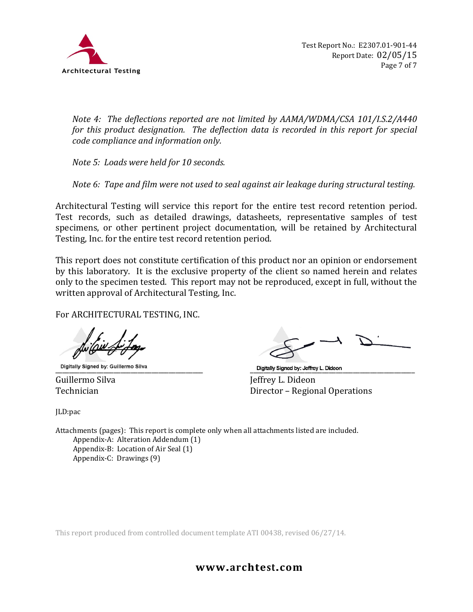

*Note 4: The deflections reported are not limited by AAMA/WDMA/CSA 101/I.S.2/A440 for this product designation. The deflection data is recorded in this report for special code compliance and information only.*

*Note 5: Loads were held for 10 seconds.*

*Note 6: Tape and film were not used to seal against air leakage during structural testing.*

Architectural Testing will service this report for the entire test record retention period. Test records, such as detailed drawings, datasheets, representative samples of test specimens, or other pertinent project documentation, will be retained by Architectural Testing, Inc. for the entire test record retention period.

This report does not constitute certification of this product nor an opinion or endorsement by this laboratory. It is the exclusive property of the client so named herein and relates only to the specimen tested. This report may not be reproduced, except in full, without the written approval of Architectural Testing, Inc.

For ARCHITECTURAL TESTING, INC.

Guillermo Silva Jeffrey L. Dideon

JLD:pac

Digitally Signed by: Guillermo Silva<br>
Guillermo Silva<br>
Guillermo Silva<br>
Teffrev L. Dideon Director – Regional Operations

Attachments (pages): This report is complete only when all attachments listed are included. Appendix-A: Alteration Addendum (1) Appendix-B: Location of Air Seal (1) Appendix-C: Drawings (9)

This report produced from controlled document template ATI 00438, revised 06/27/14.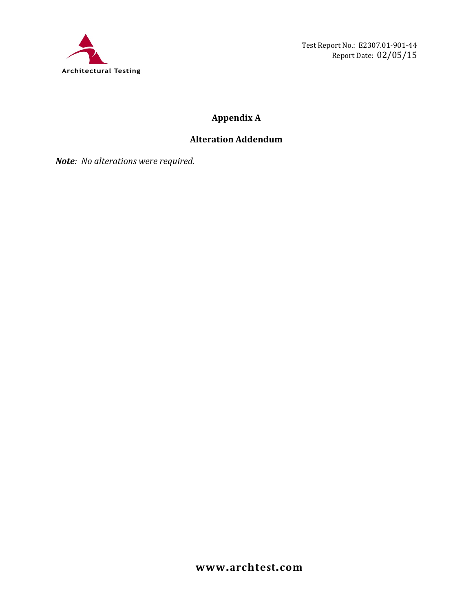

Test Report No.: E2307.01-901-44 Report Date: 02/05/15

# **Appendix A**

## **Alteration Addendum**

*Note: No alterations were required.*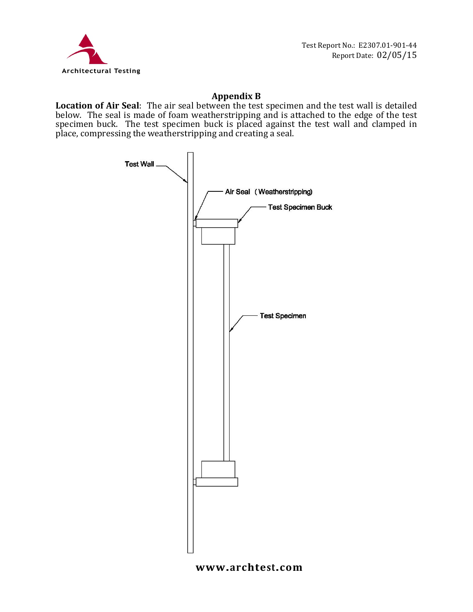

### **Appendix B**

**Location of Air Seal**: The air seal between the test specimen and the test wall is detailed below. The seal is made of foam weatherstripping and is attached to the edge of the test specimen buck. The test specimen buck is placed against the test wall and clamped in place, compressing the weatherstripping and creating a seal.



### **www.archtest.com**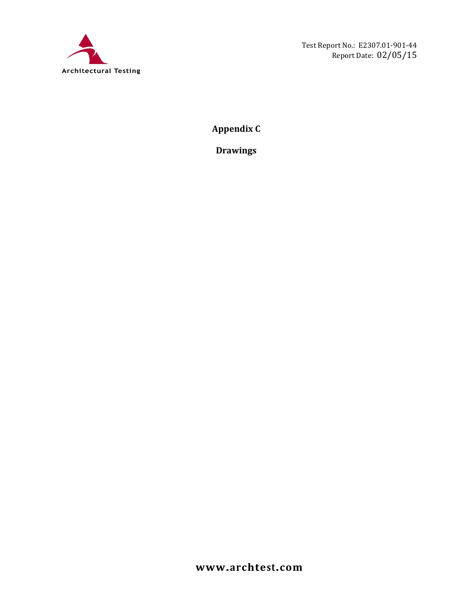

**Appendix C**

**Drawings**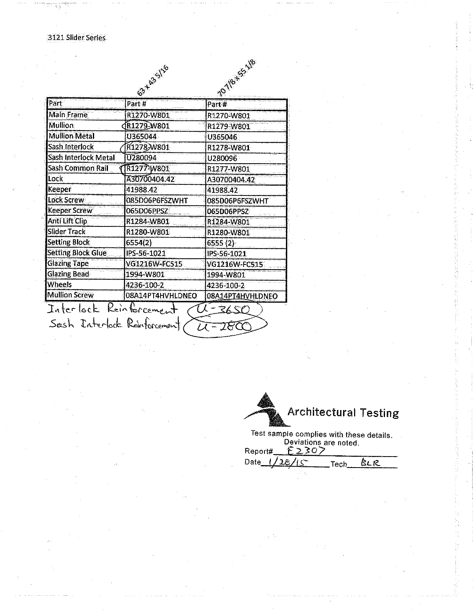|                           | 63-423-116       | 10-Yer 55-18     |
|---------------------------|------------------|------------------|
|                           |                  |                  |
| Part                      | Part #           | Part#            |
| Main Frame                | R1270-W801       | R1270-W801       |
| <b>Mullion</b>            | R1279-W801       | R1279-W801       |
| <b>Mullion Metal</b>      | U365044          | U365046          |
| Sash Interlock            | R1278-W801       | R1278-W801       |
| Sash Interlock Metal      | <b>U280094</b>   | U280096          |
| Sash Common Rail          | R1277-W801       | R1277-W801       |
| Lock                      | A30700404.42     | A30700404.42     |
| Keeper                    | 41988.42         | 41988.42         |
| <b>Lock Screw</b>         | 085D06P6FSZWHT   | 085D06P6FSZWHT   |
| Keeper Screw              | 065D06PPSZ       | 065D06PPSZ       |
| Anti Lift Clip            | R1284-W801       | R1284-W801       |
| <b>Slider Track</b>       | R1280-W801       | R1280-W801       |
| <b>Setting Block</b>      | 6554(2)          | 6555 (2)         |
| <b>Setting Block Glue</b> | IPS-56-1021      | IPS-56-1021      |
| <b>Glazing Tape</b>       | VG1216W-FC515    | VG1216W-FC515    |
| <b>Glazing Bead</b>       | 1994-W801        | 1994-W801        |
| <b>Wheels</b>             | 4236-100-2       | 4236-100-2       |
| <b>Mullion Screw</b>      | 08A14PT4HVHLDNEO | 08A14PT4HVHLDNEO |



Report#

Tech<sub>-</sub>

<u>BLR</u>

Date\_ $\overline{\mathcal{L}}$  $4<$  $28$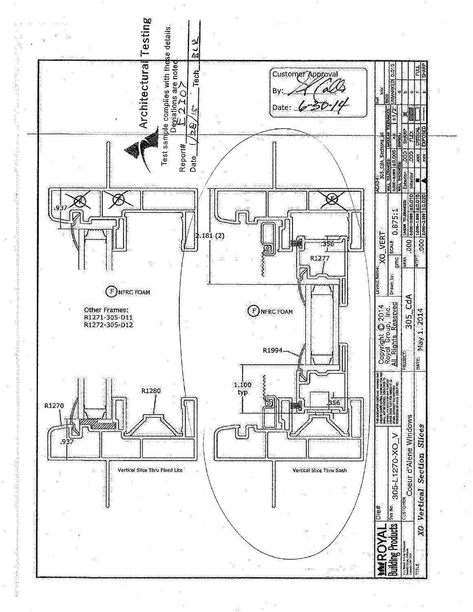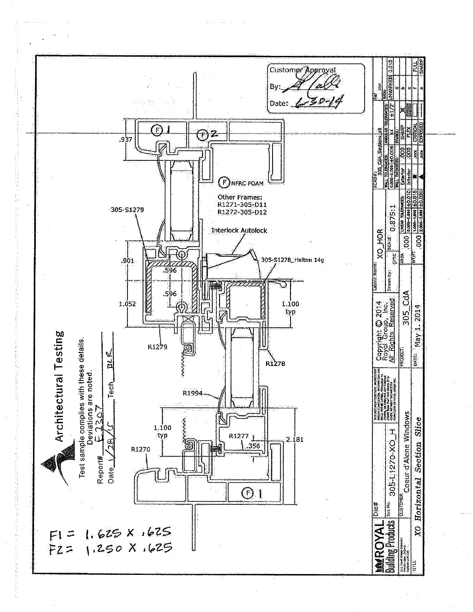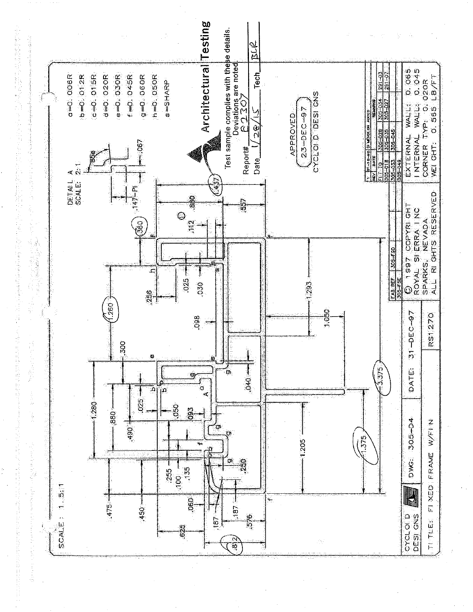

经定

计图像设备的

2010年4月1日

医抗血管 的复数的过去式和过去分词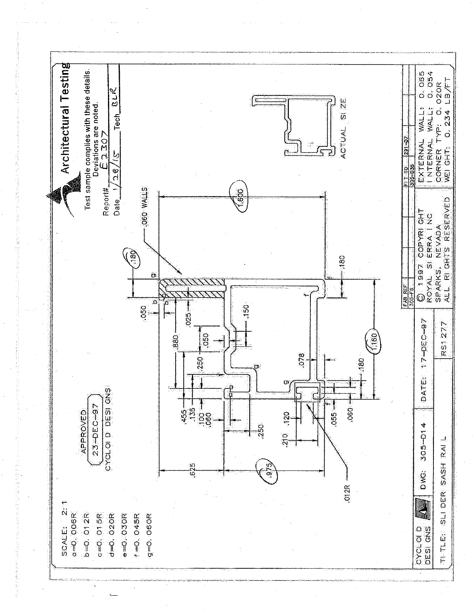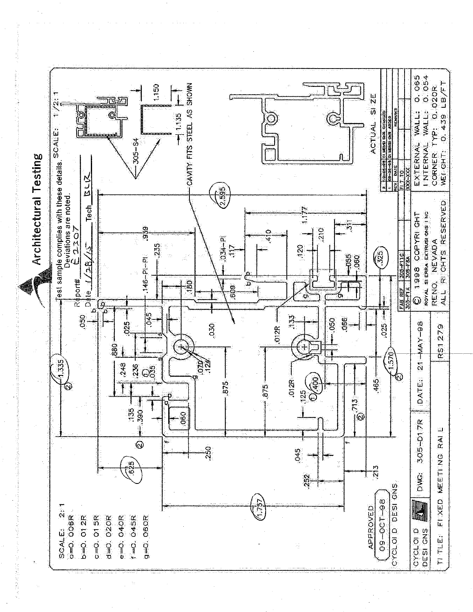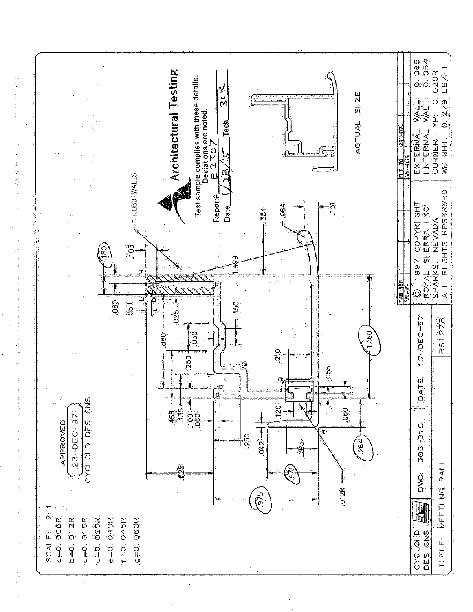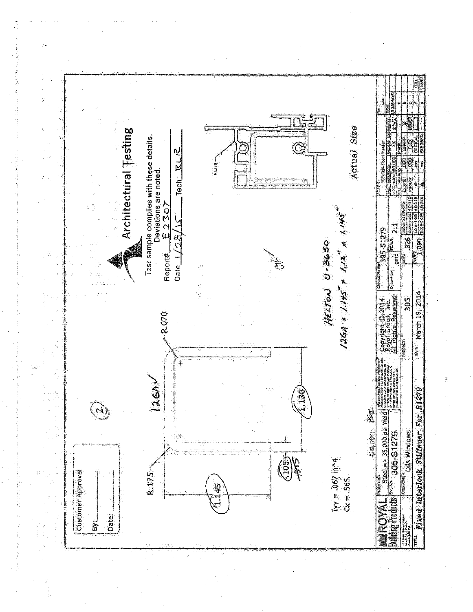